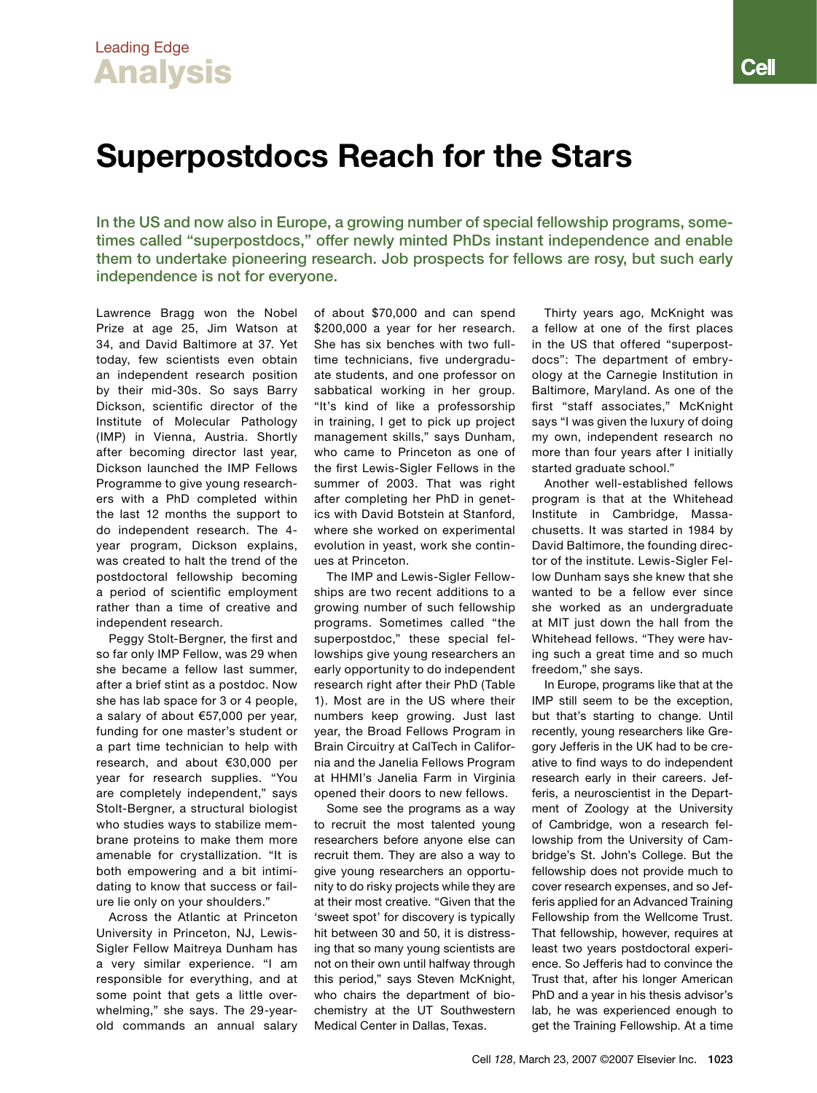## **Superpostdocs Reach for the Stars**

In the US and now also in Europe, a growing number of special fellowship programs, sometimes called "superpostdocs," offer newly minted PhDs instant independence and enable them to undertake pioneering research. Job prospects for fellows are rosy, but such early independence is not for everyone.

Lawrence Bragg won the Nobel Prize at age 25, Jim Watson at 34, and David Baltimore at 37. Yet today, few scientists even obtain an independent research position by their mid-30s. So says Barry Dickson, scientific director of the Institute of Molecular Pathology (IMP) in Vienna, Austria. Shortly after becoming director last year, Dickson launched the IMP Fellows Programme to give young researchers with a PhD completed within the last 12 months the support to do independent research. The 4 year program, Dickson explains, was created to halt the trend of the postdoctoral fellowship becoming a period of scientific employment rather than a time of creative and independent research.

Peggy Stolt-Bergner, the first and so far only IMP Fellow, was 29 when she became a fellow last summer, after a brief stint as a postdoc. Now she has lab space for 3 or 4 people, a salary of about €57,000 per year, funding for one master's student or a part time technician to help with research, and about €30,000 per year for research supplies. "You are completely independent," says Stolt-Bergner, a structural biologist who studies ways to stabilize membrane proteins to make them more amenable for crystallization. "It is both empowering and a bit intimidating to know that success or failure lie only on your shoulders."

Across the Atlantic at Princeton University in Princeton, NJ, Lewis-Sigler Fellow Maitreya Dunham has a very similar experience. "I am responsible for everything, and at some point that gets a little overwhelming," she says. The 29-yearold commands an annual salary of about \$70,000 and can spend \$200,000 a year for her research. She has six benches with two fulltime technicians, five undergraduate students, and one professor on sabbatical working in her group. "It's kind of like a professorship in training, I get to pick up project management skills," says Dunham, who came to Princeton as one of the first Lewis-Sigler Fellows in the summer of 2003. That was right after completing her PhD in genetics with David Botstein at Stanford, where she worked on experimental evolution in yeast, work she continues at Princeton.

The IMP and Lewis-Sigler Fellowships are two recent additions to a growing number of such fellowship programs. Sometimes called "the superpostdoc," these special fellowships give young researchers an early opportunity to do independent research right after their PhD (Table 1). Most are in the US where their numbers keep growing. Just last year, the Broad Fellows Program in Brain Circuitry at CalTech in California and the Janelia Fellows Program at HHMI's Janelia Farm in Virginia opened their doors to new fellows.

Some see the programs as a way to recruit the most talented young researchers before anyone else can recruit them. They are also a way to give young researchers an opportunity to do risky projects while they are at their most creative. "Given that the 'sweet spot' for discovery is typically hit between 30 and 50, it is distressing that so many young scientists are not on their own until halfway through this period," says Steven McKnight, who chairs the department of biochemistry at the UT Southwestern Medical Center in Dallas, Texas.

Thirty years ago, McKnight was a fellow at one of the first places in the US that offered "superpostdocs": The department of embryology at the Carnegie Institution in Baltimore, Maryland. As one of the first "staff associates," McKnight says "I was given the luxury of doing my own, independent research no more than four years after I initially started graduate school."

Another well-established fellows program is that at the Whitehead Institute in Cambridge, Massachusetts. It was started in 1984 by David Baltimore, the founding director of the institute. Lewis-Sigler Fellow Dunham says she knew that she wanted to be a fellow ever since she worked as an undergraduate at MIT just down the hall from the Whitehead fellows. "They were having such a great time and so much freedom," she says.

In Europe, programs like that at the IMP still seem to be the exception, but that's starting to change. Until recently, young researchers like Gregory Jefferis in the UK had to be creative to find ways to do independent research early in their careers. Jefferis, a neuroscientist in the Department of Zoology at the University of Cambridge, won a research fellowship from the University of Cambridge's St. John's College. But the fellowship does not provide much to cover research expenses, and so Jefferis applied for an Advanced Training Fellowship from the Wellcome Trust. That fellowship, however, requires at least two years postdoctoral experience. So Jefferis had to convince the Trust that, after his longer American PhD and a year in his thesis advisor's lab, he was experienced enough to get the Training Fellowship. At a time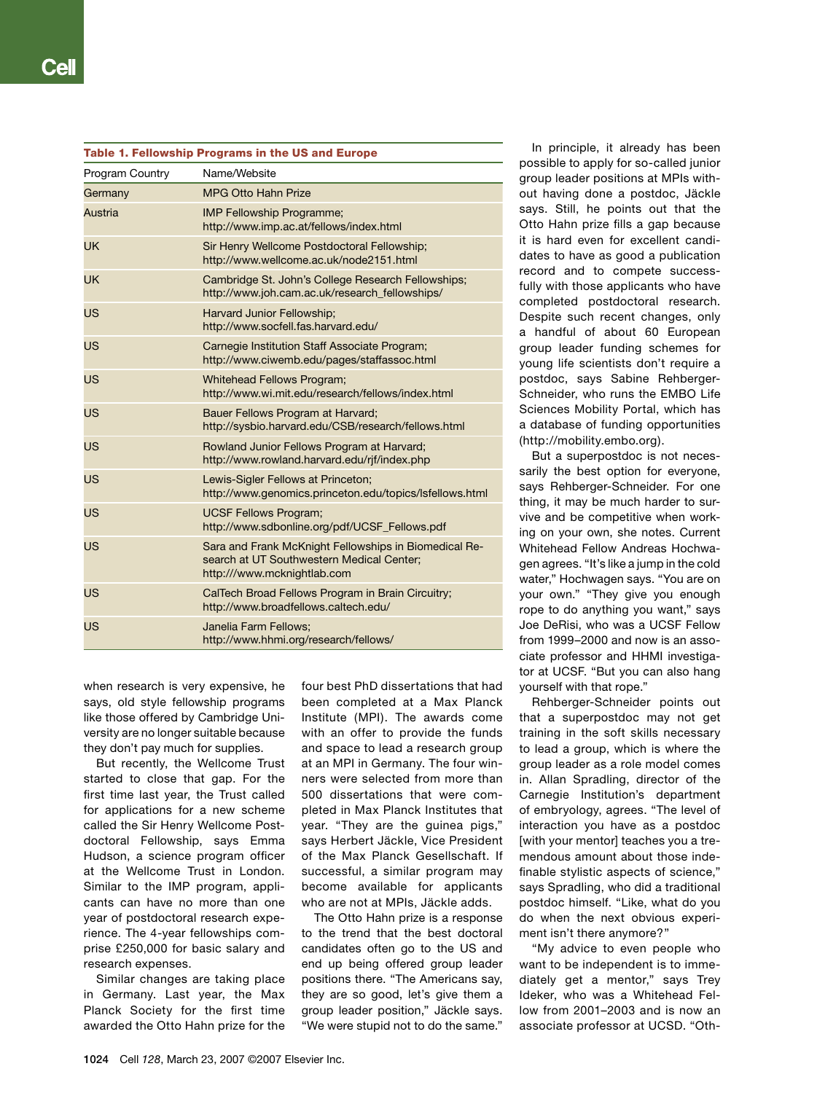## Table 1. Fellowship Programs in the US and Europe

| Program Country | Name/Website                                                                                                                      |
|-----------------|-----------------------------------------------------------------------------------------------------------------------------------|
| Germany         | <b>MPG Otto Hahn Prize</b>                                                                                                        |
| Austria         | <b>IMP Fellowship Programme;</b><br>http://www.imp.ac.at/fellows/index.html                                                       |
| <b>UK</b>       | Sir Henry Wellcome Postdoctoral Fellowship;<br>http://www.wellcome.ac.uk/node2151.html                                            |
| <b>UK</b>       | Cambridge St. John's College Research Fellowships;<br>http://www.joh.cam.ac.uk/research_fellowships/                              |
| <b>US</b>       | Harvard Junior Fellowship;<br>http://www.socfell.fas.harvard.edu/                                                                 |
| US              | Carnegie Institution Staff Associate Program;<br>http://www.ciwemb.edu/pages/staffassoc.html                                      |
| <b>US</b>       | <b>Whitehead Fellows Program;</b><br>http://www.wi.mit.edu/research/fellows/index.html                                            |
| <b>US</b>       | Bauer Fellows Program at Harvard;<br>http://sysbio.harvard.edu/CSB/research/fellows.html                                          |
| US              | Rowland Junior Fellows Program at Harvard;<br>http://www.rowland.harvard.edu/rjf/index.php                                        |
| <b>US</b>       | Lewis-Sigler Fellows at Princeton;<br>http://www.genomics.princeton.edu/topics/lsfellows.html                                     |
| US              | <b>UCSF Fellows Program;</b><br>http://www.sdbonline.org/pdf/UCSF_Fellows.pdf                                                     |
| US              | Sara and Frank McKnight Fellowships in Biomedical Re-<br>search at UT Southwestern Medical Center;<br>http:///www.mcknightlab.com |
| US              | CalTech Broad Fellows Program in Brain Circuitry;<br>http://www.broadfellows.caltech.edu/                                         |
| <b>US</b>       | Janelia Farm Fellows:<br>http://www.hhmi.org/research/fellows/                                                                    |

when research is very expensive, he says, old style fellowship programs like those offered by Cambridge University are no longer suitable because they don't pay much for supplies.

But recently, the Wellcome Trust started to close that gap. For the first time last year, the Trust called for applications for a new scheme called the Sir Henry Wellcome Postdoctoral Fellowship, says Emma Hudson, a science program officer at the Wellcome Trust in London. Similar to the IMP program, applicants can have no more than one year of postdoctoral research experience. The 4-year fellowships comprise £250,000 for basic salary and research expenses.

Similar changes are taking place in Germany. Last year, the Max Planck Society for the first time awarded the Otto Hahn prize for the four best PhD dissertations that had been completed at a Max Planck Institute (MPI). The awards come with an offer to provide the funds and space to lead a research group at an MPI in Germany. The four winners were selected from more than 500 dissertations that were completed in Max Planck Institutes that year. "They are the guinea pigs," says Herbert Jäckle, Vice President of the Max Planck Gesellschaft. If successful, a similar program may become available for applicants who are not at MPIs, Jäckle adds.

The Otto Hahn prize is a response to the trend that the best doctoral candidates often go to the US and end up being offered group leader positions there. "The Americans say, they are so good, let's give them a group leader position," Jäckle says. "We were stupid not to do the same."

In principle, it already has been possible to apply for so-called junior group leader positions at MPIs without having done a postdoc, Jäckle says. Still, he points out that the Otto Hahn prize fills a gap because it is hard even for excellent candidates to have as good a publication record and to compete successfully with those applicants who have completed postdoctoral research. Despite such recent changes, only a handful of about 60 European group leader funding schemes for young life scientists don't require a postdoc, says Sabine Rehberger-Schneider, who runs the EMBO Life Sciences Mobility Portal, which has a database of funding opportunities (http://mobility.embo.org).

But a superpostdoc is not necessarily the best option for everyone, says Rehberger-Schneider. For one thing, it may be much harder to survive and be competitive when working on your own, she notes. Current Whitehead Fellow Andreas Hochwagen agrees. "It's like a jump in the cold water," Hochwagen says. "You are on your own." "They give you enough rope to do anything you want," says Joe DeRisi, who was a UCSF Fellow from 1999–2000 and now is an associate professor and HHMI investigator at UCSF. "But you can also hang yourself with that rope."

Rehberger-Schneider points out that a superpostdoc may not get training in the soft skills necessary to lead a group, which is where the group leader as a role model comes in. Allan Spradling, director of the Carnegie Institution's department of embryology, agrees. "The level of interaction you have as a postdoc [with your mentor] teaches you a tremendous amount about those indefinable stylistic aspects of science," says Spradling, who did a traditional postdoc himself. "Like, what do you do when the next obvious experiment isn't there anymore?"

"My advice to even people who want to be independent is to immediately get a mentor," says Trey Ideker, who was a Whitehead Fellow from 2001–2003 and is now an associate professor at UCSD. "Oth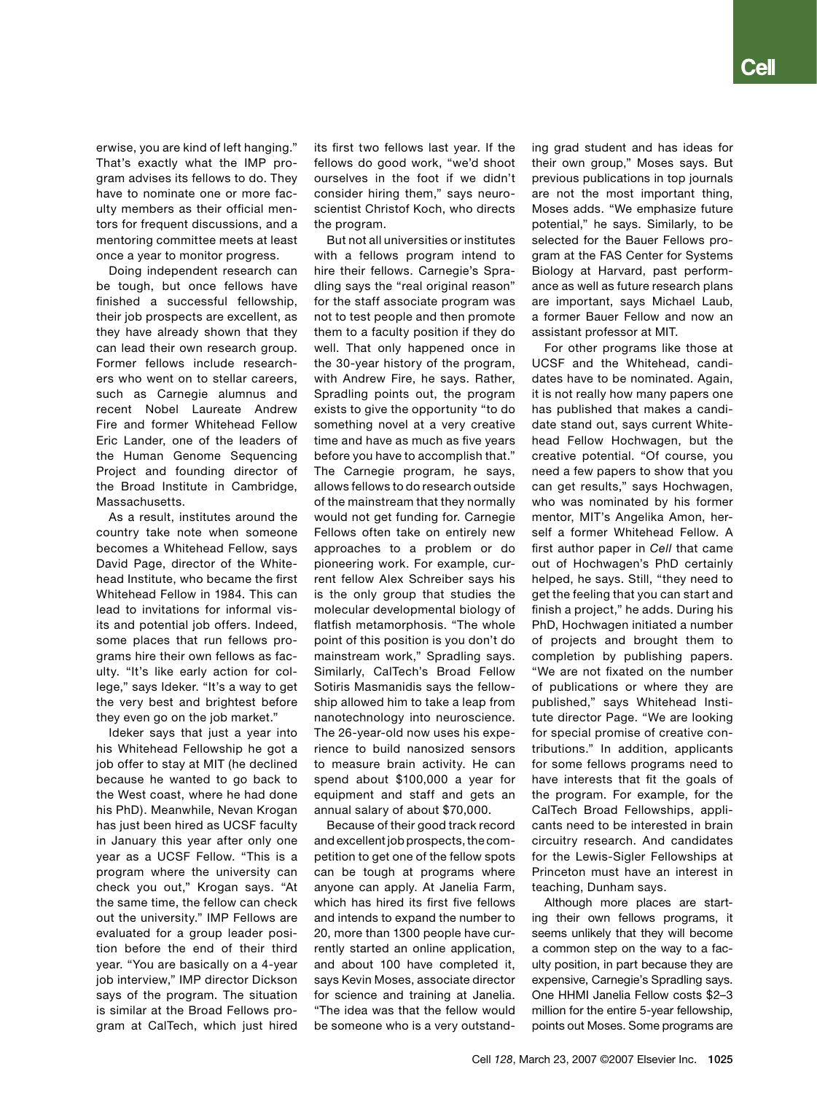erwise, you are kind of left hanging." That's exactly what the IMP program advises its fellows to do. They have to nominate one or more faculty members as their official mentors for frequent discussions, and a mentoring committee meets at least once a year to monitor progress.

Doing independent research can be tough, but once fellows have finished a successful fellowship, their job prospects are excellent, as they have already shown that they can lead their own research group. Former fellows include researchers who went on to stellar careers, such as Carnegie alumnus and recent Nobel Laureate Andrew Fire and former Whitehead Fellow Eric Lander, one of the leaders of the Human Genome Sequencing Project and founding director of the Broad Institute in Cambridge, **Massachusetts** 

As a result, institutes around the country take note when someone becomes a Whitehead Fellow, says David Page, director of the Whitehead Institute, who became the first Whitehead Fellow in 1984. This can lead to invitations for informal visits and potential job offers. Indeed, some places that run fellows programs hire their own fellows as faculty. "It's like early action for college," says Ideker. "It's a way to get the very best and brightest before they even go on the job market."

Ideker says that just a year into his Whitehead Fellowship he got a job offer to stay at MIT (he declined because he wanted to go back to the West coast, where he had done his PhD). Meanwhile, Nevan Krogan has just been hired as UCSF faculty in January this year after only one year as a UCSF Fellow. "This is a program where the university can check you out," Krogan says. "At the same time, the fellow can check out the university." IMP Fellows are evaluated for a group leader position before the end of their third year. "You are basically on a 4-year job interview," IMP director Dickson says of the program. The situation is similar at the Broad Fellows program at CalTech, which just hired its first two fellows last year. If the fellows do good work, "we'd shoot ourselves in the foot if we didn't consider hiring them," says neuroscientist Christof Koch, who directs the program.

But not all universities or institutes with a fellows program intend to hire their fellows. Carnegie's Spradling says the "real original reason" for the staff associate program was not to test people and then promote them to a faculty position if they do well. That only happened once in the 30-year history of the program, with Andrew Fire, he says. Rather, Spradling points out, the program exists to give the opportunity "to do something novel at a very creative time and have as much as five years before you have to accomplish that." The Carnegie program, he says, allows fellows to do research outside of the mainstream that they normally would not get funding for. Carnegie Fellows often take on entirely new approaches to a problem or do pioneering work. For example, current fellow Alex Schreiber says his is the only group that studies the molecular developmental biology of flatfish metamorphosis. "The whole point of this position is you don't do mainstream work," Spradling says. Similarly, CalTech's Broad Fellow Sotiris Masmanidis says the fellowship allowed him to take a leap from nanotechnology into neuroscience. The 26-year-old now uses his experience to build nanosized sensors to measure brain activity. He can spend about \$100,000 a year for equipment and staff and gets an annual salary of about \$70,000.

Because of their good track record and excellent job prospects, the competition to get one of the fellow spots can be tough at programs where anyone can apply. At Janelia Farm, which has hired its first five fellows and intends to expand the number to 20, more than 1300 people have currently started an online application, and about 100 have completed it, says Kevin Moses, associate director for science and training at Janelia. "The idea was that the fellow would be someone who is a very outstanding grad student and has ideas for their own group," Moses says. But previous publications in top journals are not the most important thing, Moses adds. "We emphasize future potential," he says. Similarly, to be selected for the Bauer Fellows program at the FAS Center for Systems Biology at Harvard, past performance as well as future research plans are important, says Michael Laub, a former Bauer Fellow and now an assistant professor at MIT.

For other programs like those at UCSF and the Whitehead, candidates have to be nominated. Again, it is not really how many papers one has published that makes a candidate stand out, says current Whitehead Fellow Hochwagen, but the creative potential. "Of course, you need a few papers to show that you can get results," says Hochwagen, who was nominated by his former mentor, MIT's Angelika Amon, herself a former Whitehead Fellow. A first author paper in *Cell* that came out of Hochwagen's PhD certainly helped, he says. Still, "they need to get the feeling that you can start and finish a project," he adds. During his PhD, Hochwagen initiated a number of projects and brought them to completion by publishing papers. "We are not fixated on the number of publications or where they are published," says Whitehead Institute director Page. "We are looking for special promise of creative contributions." In addition, applicants for some fellows programs need to have interests that fit the goals of the program. For example, for the CalTech Broad Fellowships, applicants need to be interested in brain circuitry research. And candidates for the Lewis-Sigler Fellowships at Princeton must have an interest in teaching, Dunham says.

Although more places are starting their own fellows programs, it seems unlikely that they will become a common step on the way to a faculty position, in part because they are expensive, Carnegie's Spradling says. One HHMI Janelia Fellow costs \$2–3 million for the entire 5-year fellowship, points out Moses. Some programs are